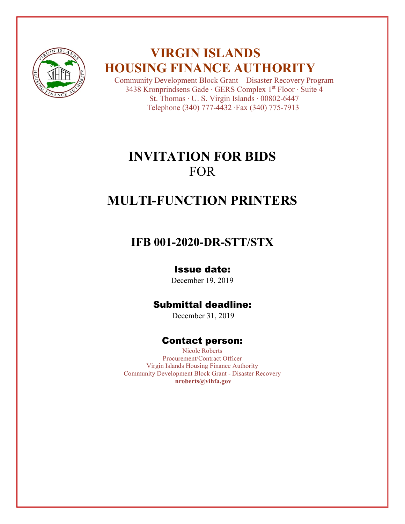

## **VIRGIN ISLANDS HOUSING FINANCE AUTHORITY**

Community Development Block Grant – Disaster Recovery Program 3438 Kronprindsens Gade ∙ GERS Complex 1st Floor ∙ Suite 4 St. Thomas ∙ U. S. Virgin Islands ∙ 00802-6447 Telephone (340) 777-4432 ∙Fax (340) 775-7913

## **INVITATION FOR BIDS** FOR

# **MULTI-FUNCTION PRINTERS**

## **IFB 001-2020-DR-STT/STX**

## Issue date:

December 19, 2019

## Submittal deadline:

December 31, 2019

## Contact person:

Nicole Roberts Procurement/Contract Officer Virgin Islands Housing Finance Authority Community Development Block Grant - Disaster Recovery **nroberts@vihfa.gov**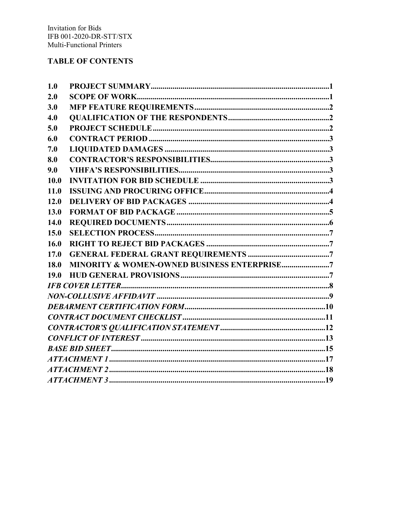### **TABLE OF CONTENTS**

| 1.0  |                                                        |
|------|--------------------------------------------------------|
| 2.0  |                                                        |
| 3.0  |                                                        |
| 4.0  |                                                        |
| 5.0  |                                                        |
| 6.0  |                                                        |
| 7.0  |                                                        |
| 8.0  |                                                        |
| 9.0  |                                                        |
| 10.0 |                                                        |
| 11.0 |                                                        |
| 12.0 |                                                        |
| 13.0 |                                                        |
| 14.0 |                                                        |
| 15.0 |                                                        |
| 16.0 |                                                        |
| 17.0 |                                                        |
| 18.0 | <b>MINORITY &amp; WOMEN-OWNED BUSINESS ENTERPRISE7</b> |
| 19.0 |                                                        |
|      |                                                        |
|      |                                                        |
|      |                                                        |
|      |                                                        |
|      |                                                        |
|      |                                                        |
|      |                                                        |
|      |                                                        |
|      |                                                        |
|      |                                                        |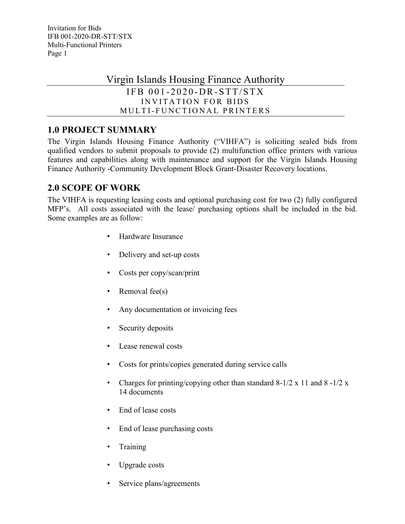Virgin Islands Housing Finance Authority

```
IFB 001 - 2020 - DR - STT/STXINVITATION FOR BIDS
MULTI- FUNCTIONAL PRINTERS
```
## <span id="page-2-0"></span>**1.0 PROJECT SUMMARY**

The Virgin Islands Housing Finance Authority ("VIHFA") is soliciting sealed bids from qualified vendors to submit proposals to provide (2) multifunction office printers with various features and capabilities along with maintenance and support for the Virgin Islands Housing Finance Authority -Community Development Block Grant-Disaster Recovery locations.

## <span id="page-2-1"></span>**2.0 SCOPE OF WORK**

The VIHFA is requesting leasing costs and optional purchasing cost for two (2) fully configured MFP's. All costs associated with the lease/ purchasing options shall be included in the bid. Some examples are as follow:

- Hardware Insurance
- Delivery and set-up costs
- Costs per copy/scan/print
- Removal fee $(s)$
- Any documentation or invoicing fees
- Security deposits
- Lease renewal costs
- Costs for prints/copies generated during service calls
- Charges for printing/copying other than standard  $8-1/2 \times 11$  and  $8-1/2 \times 11$ 14 documents
- End of lease costs
- End of lease purchasing costs
- **Training**
- Upgrade costs
- Service plans/agreements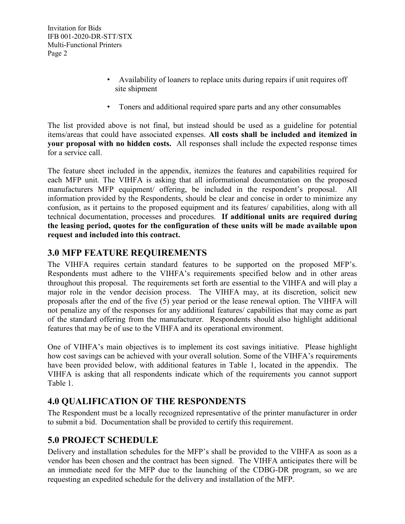- Availability of loaners to replace units during repairs if unit requires off site shipment
- Toners and additional required spare parts and any other consumables

<span id="page-3-3"></span>The list provided above is not final, but instead should be used as a guideline for potential items/areas that could have associated expenses. **All costs shall be included and itemized in your proposal with no hidden costs.** All responses shall include the expected response times for a service call.

The feature sheet included in the appendix, itemizes the features and capabilities required for each MFP unit. The VIHFA is asking that all informational documentation on the proposed manufacturers MFP equipment/ offering, be included in the respondent's proposal. All information provided by the Respondents, should be clear and concise in order to minimize any confusion, as it pertains to the proposed equipment and its features/ capabilities, along with all technical documentation, processes and procedures. **If additional units are required during the leasing period, quotes for the configuration of these units will be made available upon request and included into this contract.**

### <span id="page-3-0"></span>**3.0 MFP FEATURE REQUIREMENTS**

The VIHFA requires certain standard features to be supported on the proposed MFP's. Respondents must adhere to the VIHFA's requirements specified below and in other areas throughout this proposal. The requirements set forth are essential to the VIHFA and will play a major role in the vendor decision process. The VIHFA may, at its discretion, solicit new proposals after the end of the five (5) year period or the lease renewal option. The VIHFA will not penalize any of the responses for any additional features/ capabilities that may come as part of the standard offering from the manufacturer. Respondents should also highlight additional features that may be of use to the VIHFA and its operational environment.

One of VIHFA's main objectives is to implement its cost savings initiative. Please highlight how cost savings can be achieved with your overall solution. Some of the VIHFA's requirements have been provided below, with additional features in Table 1, located in the appendix. The VIHFA is asking that all respondents indicate which of the requirements you cannot support Table 1.

## <span id="page-3-1"></span>**4.0 QUALIFICATION OF THE RESPONDENTS**

The Respondent must be a locally recognized representative of the printer manufacturer in order to submit a bid. Documentation shall be provided to certify this requirement.

## <span id="page-3-2"></span>**5.0 PROJECT SCHEDULE**

Delivery and installation schedules for the MFP's shall be provided to the VIHFA as soon as a vendor has been chosen and the contract has been signed. The VIHFA anticipates there will be an immediate need for the MFP due to the launching of the CDBG-DR program, so we are requesting an expedited schedule for the delivery and installation of the MFP.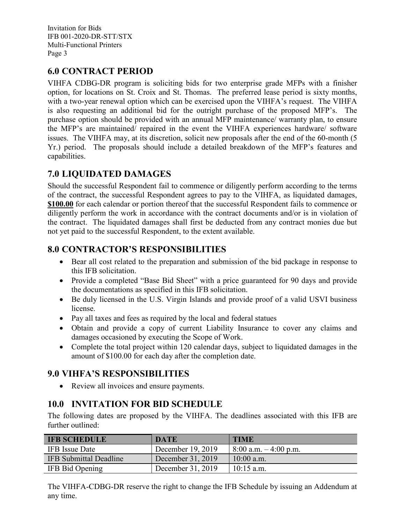## <span id="page-4-4"></span>**6.0 CONTRACT PERIOD**

VIHFA CDBG-DR program is soliciting bids for two enterprise grade MFPs with a finisher option, for locations on St. Croix and St. Thomas. The preferred lease period is sixty months, with a two-year renewal option which can be exercised upon the VIHFA's request. The VIHFA is also requesting an additional bid for the outright purchase of the proposed MFP's. The purchase option should be provided with an annual MFP maintenance/ warranty plan, to ensure the MFP's are maintained/ repaired in the event the VIHFA experiences hardware/ software issues. The VIHFA may, at its discretion, solicit new proposals after the end of the 60-month (5 Yr.) period. The proposals should include a detailed breakdown of the MFP's features and capabilities.

## <span id="page-4-0"></span>**7.0 LIQUIDATED DAMAGES**

Should the successful Respondent fail to commence or diligently perform according to the terms of the contract, the successful Respondent agrees to pay to the VIHFA, as liquidated damages, **\$100.00** for each calendar or portion thereof that the successful Respondent fails to commence or diligently perform the work in accordance with the contract documents and/or is in violation of the contract. The liquidated damages shall first be deducted from any contract monies due but not yet paid to the successful Respondent, to the extent available.

## <span id="page-4-1"></span>**8.0 CONTRACTOR'S RESPONSIBILITIES**

- Bear all cost related to the preparation and submission of the bid package in response to this IFB solicitation.
- Provide a completed "Base Bid Sheet" with a price guaranteed for 90 days and provide the documentations as specified in this IFB solicitation.
- Be duly licensed in the U.S. Virgin Islands and provide proof of a valid USVI business license.
- Pay all taxes and fees as required by the local and federal statues
- Obtain and provide a copy of current Liability Insurance to cover any claims and damages occasioned by executing the Scope of Work.
- Complete the total project within 120 calendar days, subject to liquidated damages in the amount of \$100.00 for each day after the completion date.

## <span id="page-4-2"></span>**9.0 VIHFA'S RESPONSIBILITIES**

• Review all invoices and ensure payments.

## <span id="page-4-3"></span>**10.0 INVITATION FOR BID SCHEDULE**

The following dates are proposed by the VIHFA. The deadlines associated with this IFB are further outlined:

| <b>IFB SCHEDULE</b>    | <b>DATE</b>       | <b>TIME</b>              |
|------------------------|-------------------|--------------------------|
| <b>IFB</b> Issue Date  | December 19, 2019 | $8:00$ a.m. $-4:00$ p.m. |
| IFB Submittal Deadline | December 31, 2019 | $10:00$ a.m.             |
| IFB Bid Opening        | December 31, 2019 | $10:15$ a.m.             |

The VIHFA-CDBG-DR reserve the right to change the IFB Schedule by issuing an Addendum at any time.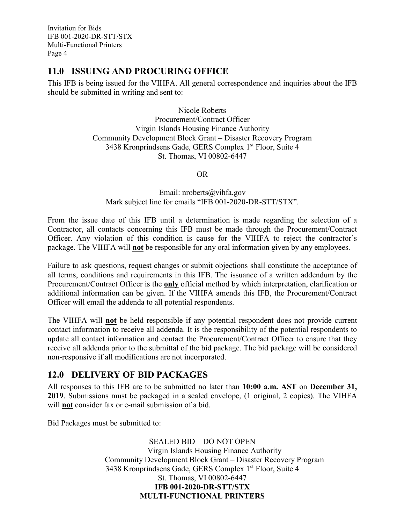### **11.0 ISSUING AND PROCURING OFFICE**

This IFB is being issued for the VIHFA. All general correspondence and inquiries about the IFB should be submitted in writing and sent to:

> Nicole Roberts Procurement/Contract Officer Virgin Islands Housing Finance Authority Community Development Block Grant – Disaster Recovery Program 3438 Kronprindsens Gade, GERS Complex 1<sup>st</sup> Floor, Suite 4 St. Thomas, VI 00802-6447

> > OR

Email: nroberts@vihfa.gov Mark subject line for emails "IFB 001-2020-DR-STT/STX".

From the issue date of this IFB until a determination is made regarding the selection of a Contractor, all contacts concerning this IFB must be made through the Procurement/Contract Officer. Any violation of this condition is cause for the VIHFA to reject the contractor's package. The VIHFA will **not** be responsible for any oral information given by any employees.

Failure to ask questions, request changes or submit objections shall constitute the acceptance of all terms, conditions and requirements in this IFB. The issuance of a written addendum by the Procurement/Contract Officer is the **only** official method by which interpretation, clarification or additional information can be given. If the VIHFA amends this IFB, the Procurement/Contract Officer will email the addenda to all potential respondents.

The VIHFA will **not** be held responsible if any potential respondent does not provide current contact information to receive all addenda. It is the responsibility of the potential respondents to update all contact information and contact the Procurement/Contract Officer to ensure that they receive all addenda prior to the submittal of the bid package. The bid package will be considered non-responsive if all modifications are not incorporated.

### <span id="page-5-0"></span>**12.0 DELIVERY OF BID PACKAGES**

All responses to this IFB are to be submitted no later than **10:00 a.m. AST** on **December 31, 2019**. Submissions must be packaged in a sealed envelope, (1 original, 2 copies). The VIHFA will **not** consider fax or e-mail submission of a bid.

Bid Packages must be submitted to:

SEALED BID – DO NOT OPEN Virgin Islands Housing Finance Authority Community Development Block Grant – Disaster Recovery Program 3438 Kronprindsens Gade, GERS Complex 1st Floor, Suite 4 St. Thomas, VI 00802-6447 **IFB 001-2020-DR-STT/STX MULTI-FUNCTIONAL PRINTERS**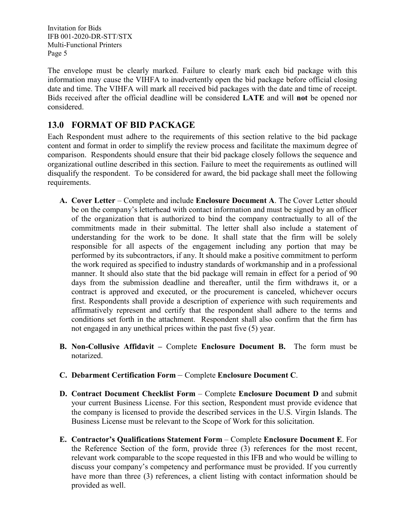The envelope must be clearly marked. Failure to clearly mark each bid package with this information may cause the VIHFA to inadvertently open the bid package before official closing date and time. The VIHFA will mark all received bid packages with the date and time of receipt. Bids received after the official deadline will be considered **LATE** and will **not** be opened nor considered.

## <span id="page-6-0"></span>**13.0 FORMAT OF BID PACKAGE**

Each Respondent must adhere to the requirements of this section relative to the bid package content and format in order to simplify the review process and facilitate the maximum degree of comparison. Respondents should ensure that their bid package closely follows the sequence and organizational outline described in this section. Failure to meet the requirements as outlined will disqualify the respondent. To be considered for award, the bid package shall meet the following requirements.

- **A. Cover Letter** Complete and include **Enclosure Document A**. The Cover Letter should be on the company's letterhead with contact information and must be signed by an officer of the organization that is authorized to bind the company contractually to all of the commitments made in their submittal. The letter shall also include a statement of understanding for the work to be done. It shall state that the firm will be solely responsible for all aspects of the engagement including any portion that may be performed by its subcontractors, if any. It should make a positive commitment to perform the work required as specified to industry standards of workmanship and in a professional manner. It should also state that the bid package will remain in effect for a period of 90 days from the submission deadline and thereafter, until the firm withdraws it, or a contract is approved and executed, or the procurement is canceled, whichever occurs first. Respondents shall provide a description of experience with such requirements and affirmatively represent and certify that the respondent shall adhere to the terms and conditions set forth in the attachment. Respondent shall also confirm that the firm has not engaged in any unethical prices within the past five (5) year.
- **B. Non-Collusive Affidavit –** Complete **Enclosure Document B.** The form must be notarized.
- **C. Debarment Certification Form** Complete **Enclosure Document C**.
- **D. Contract Document Checklist Form** Complete **Enclosure Document D** and submit your current Business License. For this section, Respondent must provide evidence that the company is licensed to provide the described services in the U.S. Virgin Islands. The Business License must be relevant to the Scope of Work for this solicitation.
- **E. Contractor's Qualifications Statement Form** Complete **Enclosure Document E**. For the Reference Section of the form, provide three (3) references for the most recent, relevant work comparable to the scope requested in this IFB and who would be willing to discuss your company's competency and performance must be provided. If you currently have more than three (3) references, a client listing with contact information should be provided as well.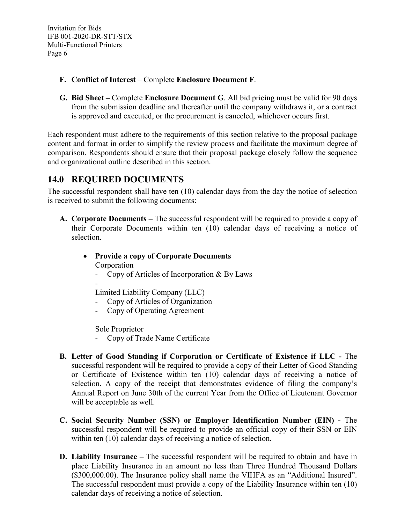- **F. Conflict of Interest** Complete **Enclosure Document F**.
- **G. Bid Sheet –** Complete **Enclosure Document G**. All bid pricing must be valid for 90 days from the submission deadline and thereafter until the company withdraws it, or a contract is approved and executed, or the procurement is canceled, whichever occurs first.

Each respondent must adhere to the requirements of this section relative to the proposal package content and format in order to simplify the review process and facilitate the maximum degree of comparison. Respondents should ensure that their proposal package closely follow the sequence and organizational outline described in this section.

### <span id="page-7-0"></span>**14.0 REQUIRED DOCUMENTS**

The successful respondent shall have ten (10) calendar days from the day the notice of selection is received to submit the following documents:

**A. Corporate Documents –** The successful respondent will be required to provide a copy of their Corporate Documents within ten (10) calendar days of receiving a notice of selection.

#### • **Provide a copy of Corporate Documents** Corporation

- Copy of Articles of Incorporation & By Laws
- Limited Liability Company (LLC)
- Copy of Articles of Organization
- Copy of Operating Agreement

Sole Proprietor

- Copy of Trade Name Certificate
- **B. Letter of Good Standing if Corporation or Certificate of Existence if LLC -** The successful respondent will be required to provide a copy of their Letter of Good Standing or Certificate of Existence within ten (10) calendar days of receiving a notice of selection. A copy of the receipt that demonstrates evidence of filing the company's Annual Report on June 30th of the current Year from the Office of Lieutenant Governor will be acceptable as well.
- **C. Social Security Number (SSN) or Employer Identification Number (EIN) -** The successful respondent will be required to provide an official copy of their SSN or EIN within ten (10) calendar days of receiving a notice of selection.
- **D. Liability Insurance –** The successful respondent will be required to obtain and have in place Liability Insurance in an amount no less than Three Hundred Thousand Dollars (\$300,000.00). The Insurance policy shall name the VIHFA as an "Additional Insured". The successful respondent must provide a copy of the Liability Insurance within ten (10) calendar days of receiving a notice of selection.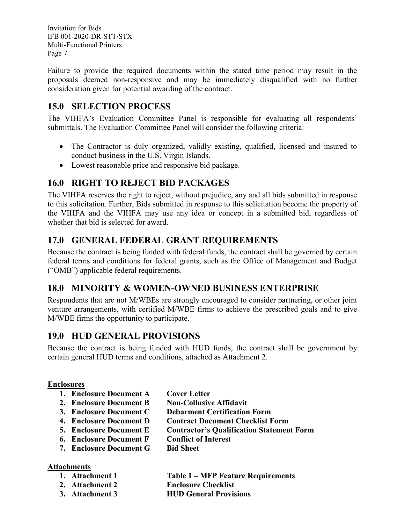Failure to provide the required documents within the stated time period may result in the proposals deemed non-responsive and may be immediately disqualified with no further consideration given for potential awarding of the contract.

## <span id="page-8-0"></span>**15.0 SELECTION PROCESS**

The VIHFA's Evaluation Committee Panel is responsible for evaluating all respondents' submittals. The Evaluation Committee Panel will consider the following criteria:

- The Contractor is duly organized, validly existing, qualified, licensed and insured to conduct business in the U.S. Virgin Islands.
- Lowest reasonable price and responsive bid package.

## <span id="page-8-1"></span>**16.0 RIGHT TO REJECT BID PACKAGES**

The VIHFA reserves the right to reject, without prejudice, any and all bids submitted in response to this solicitation. Further, Bids submitted in response to this solicitation become the property of the VIHFA and the VIHFA may use any idea or concept in a submitted bid, regardless of whether that bid is selected for award.

## <span id="page-8-2"></span>**17.0 GENERAL FEDERAL GRANT REQUIREMENTS**

Because the contract is being funded with federal funds, the contract shall be governed by certain federal terms and conditions for federal grants, such as the Office of Management and Budget ("OMB") applicable federal requirements.

## <span id="page-8-3"></span>**18.0 MINORITY & WOMEN-OWNED BUSINESS ENTERPRISE**

Respondents that are not M/WBEs are strongly encouraged to consider partnering, or other joint venture arrangements, with certified M/WBE firms to achieve the prescribed goals and to give M/WBE firms the opportunity to participate.

## <span id="page-8-4"></span>**19.0 HUD GENERAL PROVISIONS**

Because the contract is being funded with HUD funds, the contract shall be government by certain general HUD terms and conditions, attached as Attachment 2.

### **Enclosures**

- **1. Enclosure Document A Cover Letter**
- **2. Enclosure Document B Non-Collusive Affidavit**
- **3. Enclosure Document C Debarment Certification Form**
- **4. Enclosure Document D Contract Document Checklist Form**
- **5. Enclosure Document E Contractor's Qualification Statement Form**
- **6. Enclosure Document F Conflict of Interest**
- **7. Enclosure Document G Bid Sheet**

### **Attachments**

- **1. Attachment 1 Table 1 – MFP Feature Requirements**
- **2. Attachment 2 Enclosure Checklist**
- **3. Attachment 3 HUD General Provisions**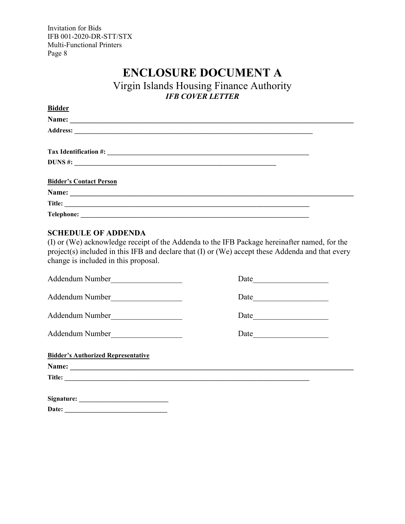## **ENCLOSURE DOCUMENT A**

Virgin Islands Housing Finance Authority *IFB COVER LETTER*

<span id="page-9-0"></span>

| <b>Bidder</b>                  |  |
|--------------------------------|--|
|                                |  |
|                                |  |
|                                |  |
|                                |  |
| <b>Bidder's Contact Person</b> |  |
|                                |  |
|                                |  |
| <b>Telephone:</b>              |  |

#### **SCHEDULE OF ADDENDA**

(I) or (We) acknowledge receipt of the Addenda to the IFB Package hereinafter named, for the project(s) included in this IFB and declare that (I) or (We) accept these Addenda and that every change is included in this proposal.

| Addendum Number                           | Date |  |  |
|-------------------------------------------|------|--|--|
| Addendum Number                           |      |  |  |
| Addendum Number                           | Date |  |  |
| Addendum Number                           | Date |  |  |
| <b>Bidder's Authorized Representative</b> |      |  |  |
|                                           |      |  |  |
| Title:                                    |      |  |  |
|                                           |      |  |  |
| Date:                                     |      |  |  |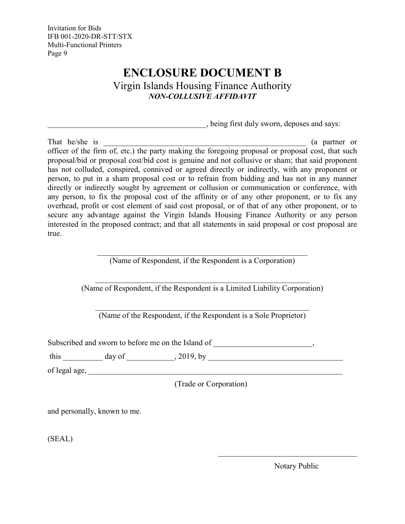## **ENCLOSURE DOCUMENT B**

Virgin Islands Housing Finance Authority *NON-COLLUSIVE AFFIDAVIT*

\_\_\_\_\_\_\_\_\_\_\_\_\_\_\_\_\_\_\_\_\_\_\_\_\_\_\_\_\_\_\_\_\_\_\_\_\_\_\_\_, being first duly sworn, deposes and says:

<span id="page-10-0"></span>That he/she is  $\qquad \qquad$  (a partner or officer of the firm of, etc.) the party making the foregoing proposal or proposal cost, that such proposal/bid or proposal cost/bid cost is genuine and not collusive or sham; that said proponent has not colluded, conspired, connived or agreed directly or indirectly, with any proponent or person, to put in a sham proposal cost or to refrain from bidding and has not in any manner directly or indirectly sought by agreement or collusion or communication or conference, with any person, to fix the proposal cost of the affinity or of any other proponent, or to fix any overhead, profit or cost element of said cost proposal, or of that of any other proponent, or to secure any advantage against the Virgin Islands Housing Finance Authority or any person interested in the proposed contract; and that all statements in said proposal or cost proposal are true.

> \_\_\_\_\_\_\_\_\_\_\_\_\_\_\_\_\_\_\_\_\_\_\_\_\_\_\_\_\_\_\_\_\_\_\_\_\_\_\_\_\_\_\_\_\_\_\_\_\_\_\_\_\_ (Name of Respondent, if the Respondent is a Corporation)

\_\_\_\_\_\_\_\_\_\_\_\_\_\_\_\_\_\_\_\_\_\_\_\_\_\_\_\_\_\_\_\_\_\_\_\_\_\_\_\_\_\_\_\_\_\_\_\_\_\_\_\_\_\_ (Name of Respondent, if the Respondent is a Limited Liability Corporation)

(Name of the Respondent, if the Respondent is a Sole Proprietor)

Subscribed and sworn to before me on the Island of \_\_\_\_\_\_\_\_\_\_\_\_\_\_\_\_\_\_\_\_\_\_\_,

this \_\_\_\_\_\_\_\_\_\_ day of \_\_\_\_\_\_\_\_\_\_\_\_, 2019, by \_\_\_\_\_\_\_\_\_\_\_\_\_\_\_\_\_\_\_\_\_\_\_\_\_\_\_\_\_\_\_\_\_\_

of legal age, \_\_\_\_\_\_\_\_\_\_\_\_\_\_\_\_\_\_\_\_\_\_\_\_\_\_\_\_\_\_\_\_\_\_\_\_\_\_\_\_\_\_\_\_\_\_\_\_\_\_\_\_\_\_\_\_\_\_\_\_\_\_\_\_

(Trade or Corporation)

and personally, known to me.

(SEAL)

Notary Public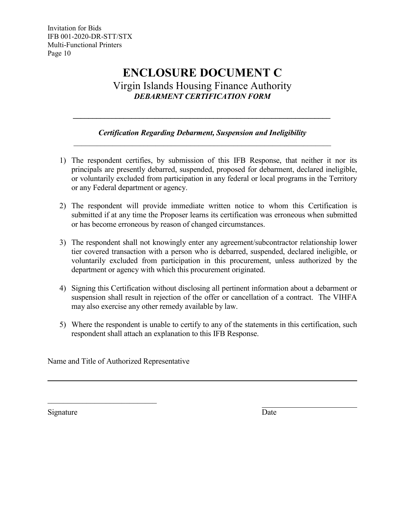## **ENCLOSURE DOCUMENT C** Virgin Islands Housing Finance Authority *DEBARMENT CERTIFICATION FORM*

### *Certification Regarding Debarment, Suspension and Ineligibility \_\_\_\_\_\_\_\_\_\_\_\_\_\_\_\_\_\_\_\_\_\_\_\_\_\_\_\_\_\_\_\_\_\_\_\_\_\_\_\_\_\_\_\_\_\_\_\_\_\_\_\_\_\_\_\_\_\_\_\_\_\_\_\_\_\_*

<span id="page-11-0"></span>*\_\_\_\_\_\_\_\_\_\_\_\_\_\_\_\_\_\_\_\_\_\_\_\_\_\_\_\_\_\_\_\_\_\_\_\_\_\_\_\_\_\_\_\_\_\_\_\_\_\_\_\_\_\_\_\_\_\_\_\_\_\_\_\_\_\_*

- 1) The respondent certifies, by submission of this IFB Response, that neither it nor its principals are presently debarred, suspended, proposed for debarment, declared ineligible, or voluntarily excluded from participation in any federal or local programs in the Territory or any Federal department or agency.
- 2) The respondent will provide immediate written notice to whom this Certification is submitted if at any time the Proposer learns its certification was erroneous when submitted or has become erroneous by reason of changed circumstances.
- 3) The respondent shall not knowingly enter any agreement/subcontractor relationship lower tier covered transaction with a person who is debarred, suspended, declared ineligible, or voluntarily excluded from participation in this procurement, unless authorized by the department or agency with which this procurement originated.
- 4) Signing this Certification without disclosing all pertinent information about a debarment or suspension shall result in rejection of the offer or cancellation of a contract. The VIHFA may also exercise any other remedy available by law.
- 5) Where the respondent is unable to certify to any of the statements in this certification, such respondent shall attach an explanation to this IFB Response.

Name and Title of Authorized Representative

\_\_\_\_\_\_\_\_\_\_\_\_\_\_\_\_\_\_\_\_\_\_\_\_\_\_\_\_

Signature Date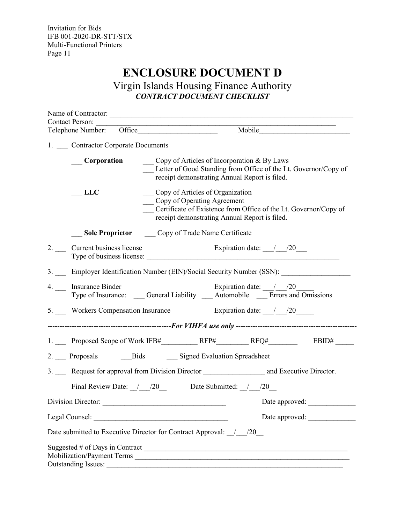## **ENCLOSURE DOCUMENT D**

Virgin Islands Housing Finance Authority *CONTRACT DOCUMENT CHECKLIST*

<span id="page-12-0"></span>

| <b>Contact Person:</b><br>Telephone Number: Office | Mobile                                                                                                                                                                               |
|----------------------------------------------------|--------------------------------------------------------------------------------------------------------------------------------------------------------------------------------------|
| 1. Contractor Corporate Documents                  |                                                                                                                                                                                      |
| <b>Corporation</b>                                 | Copy of Articles of Incorporation & By Laws<br>Letter of Good Standing from Office of the Lt. Governor/Copy of<br>receipt demonstrating Annual Report is filed.                      |
| <b>LLC</b>                                         | Copy of Articles of Organization<br>Copy of Operating Agreement<br>Certificate of Existence from Office of the Lt. Governor/Copy of<br>receipt demonstrating Annual Report is filed. |
|                                                    | Sole Proprietor Copy of Trade Name Certificate                                                                                                                                       |
| 2. Current business license                        | Expiration date: $\frac{1}{20}$<br>Type of business license:                                                                                                                         |
|                                                    | 3. Employer Identification Number (EIN)/Social Security Number (SSN):                                                                                                                |
| 4. __ Insurance Binder                             | Expiration date: $\frac{1}{20}$<br>Type of Insurance: Ceneral Liability __ Automobile __ Errors and Omissions                                                                        |
|                                                    | 5. Workers Compensation Insurance Expiration date: / /20                                                                                                                             |
|                                                    |                                                                                                                                                                                      |
|                                                    | EBID#                                                                                                                                                                                |
|                                                    | 2. Proposals Bids Signed Evaluation Spreadsheet                                                                                                                                      |
|                                                    |                                                                                                                                                                                      |
|                                                    | Final Review Date: $/20$ Date Submitted: $/20$                                                                                                                                       |
| Division Director:                                 | Date approved:                                                                                                                                                                       |
|                                                    |                                                                                                                                                                                      |
|                                                    | Date submitted to Executive Director for Contract Approval: _/_/20_                                                                                                                  |
| <b>Outstanding Issues:</b>                         | Suggested # of Days in Contract $\frac{1}{2}$<br>Mobilization/Payment Terms                                                                                                          |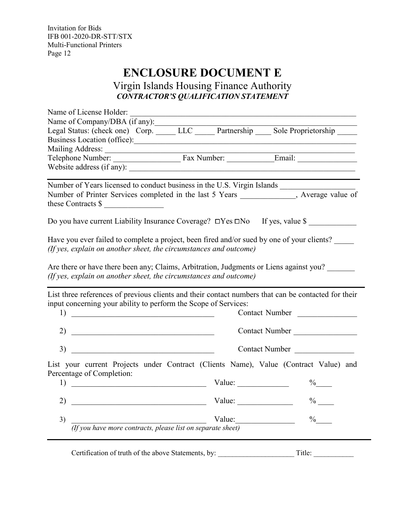## **ENCLOSURE DOCUMENT E**

Virgin Islands Housing Finance Authority *CONTRACTOR'S QUALIFICATION STATEMENT*

<span id="page-13-0"></span>

| Name of License Holder:                                                                                                                                         |                                                           |                |
|-----------------------------------------------------------------------------------------------------------------------------------------------------------------|-----------------------------------------------------------|----------------|
| Name of Company/DBA (if any):                                                                                                                                   |                                                           |                |
| Legal Status: (check one) Corp. LLC Partnership Sole Proprietorship                                                                                             |                                                           |                |
|                                                                                                                                                                 |                                                           |                |
| Mailing Address: $\frac{1}{1}$                                                                                                                                  |                                                           |                |
|                                                                                                                                                                 |                                                           |                |
|                                                                                                                                                                 |                                                           |                |
| Number of Years licensed to conduct business in the U.S. Virgin Islands _______________                                                                         |                                                           |                |
| Number of Printer Services completed in the last 5 Years ____________, Average value of                                                                         |                                                           |                |
| these Contracts $\frac{1}{2}$                                                                                                                                   |                                                           |                |
| Do you have current Liability Insurance Coverage? □Yes □No If yes, value \$                                                                                     |                                                           |                |
| Have you ever failed to complete a project, been fired and/or sued by one of your clients?<br>(If yes, explain on another sheet, the circumstances and outcome) |                                                           |                |
|                                                                                                                                                                 |                                                           |                |
| Are there or have there been any; Claims, Arbitration, Judgments or Liens against you?                                                                          |                                                           |                |
| (If yes, explain on another sheet, the circumstances and outcome)                                                                                               |                                                           |                |
|                                                                                                                                                                 |                                                           |                |
| List three references of previous clients and their contact numbers that can be contacted for their                                                             |                                                           |                |
| input concerning your ability to perform the Scope of Services:                                                                                                 |                                                           |                |
| 1)<br><u> 1989 - Johann Barn, mars and de Branch Barn, mars and de Branch Barn, mars and de Branch Barn, mars and de Br</u>                                     |                                                           | Contact Number |
| 2)<br><u> 1989 - Johann John Stein, fransk politik (f. 1989)</u>                                                                                                |                                                           | Contact Number |
|                                                                                                                                                                 |                                                           |                |
| <u> 1989 - Johann Barn, mars et al. (b. 1989)</u><br>3)                                                                                                         |                                                           | Contact Number |
| List your current Projects under Contract (Clients Name), Value (Contract Value) and                                                                            |                                                           |                |
| Percentage of Completion:                                                                                                                                       |                                                           |                |
| 1)<br><u> 1989 - Johann John Stein, mars an deus Amerikaansk kommunister (</u>                                                                                  | Value: $\frac{1}{\sqrt{1-\frac{1}{2}} \cdot \frac{1}{2}}$ | $\%$           |
|                                                                                                                                                                 |                                                           |                |
| 2)                                                                                                                                                              | Value: $\qquad \qquad$                                    | $\%$ —         |
| 3)                                                                                                                                                              | Value:                                                    | $\%$           |
| Value:<br><i>(If you have more contracts, please list on separate sheet)</i>                                                                                    |                                                           |                |
|                                                                                                                                                                 |                                                           |                |
|                                                                                                                                                                 |                                                           |                |
| Certification of truth of the above Statements, by:                                                                                                             |                                                           | Title:         |

—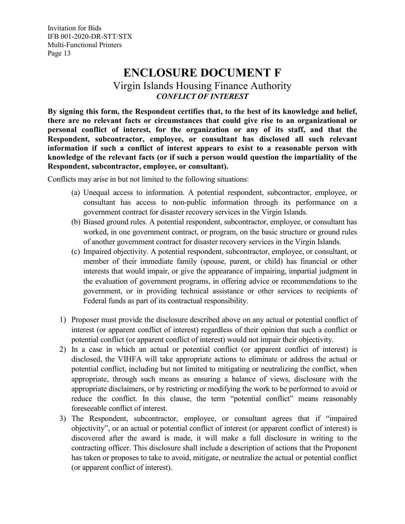## **ENCLOSURE DOCUMENT F**

Virgin Islands Housing Finance Authority *CONFLICT OF INTEREST*

<span id="page-14-0"></span>**By signing this form, the Respondent certifies that, to the best of its knowledge and belief, there are no relevant facts or circumstances that could give rise to an organizational or personal conflict of interest, for the organization or any of its staff, and that the Respondent, subcontractor, employee, or consultant has disclosed all such relevant information if such a conflict of interest appears to exist to a reasonable person with knowledge of the relevant facts (or if such a person would question the impartiality of the Respondent, subcontractor, employee, or consultant).**

Conflicts may arise in but not limited to the following situations:

- (a) Unequal access to information. A potential respondent, subcontractor, employee, or consultant has access to non-public information through its performance on a government contract for disaster recovery services in the Virgin Islands.
- (b) Biased ground rules. A potential respondent, subcontractor, employee, or consultant has worked, in one government contract, or program, on the basic structure or ground rules of another government contract for disaster recovery services in the Virgin Islands.
- (c) Impaired objectivity. A potential respondent, subcontractor, employee, or consultant, or member of their immediate family (spouse, parent, or child) has financial or other interests that would impair, or give the appearance of impairing, impartial judgment in the evaluation of government programs, in offering advice or recommendations to the government, or in providing technical assistance or other services to recipients of Federal funds as part of its contractual responsibility.
- 1) Proposer must provide the disclosure described above on any actual or potential conflict of interest (or apparent conflict of interest) regardless of their opinion that such a conflict or potential conflict (or apparent conflict of interest) would not impair their objectivity.
- 2) In a case in which an actual or potential conflict (or apparent conflict of interest) is disclosed, the VIHFA will take appropriate actions to eliminate or address the actual or potential conflict, including but not limited to mitigating or neutralizing the conflict, when appropriate, through such means as ensuring a balance of views, disclosure with the appropriate disclaimers, or by restricting or modifying the work to be performed to avoid or reduce the conflict. In this clause, the term "potential conflict" means reasonably foreseeable conflict of interest.
- 3) The Respondent, subcontractor, employee, or consultant agrees that if "impaired objectivity", or an actual or potential conflict of interest (or apparent conflict of interest) is discovered after the award is made, it will make a full disclosure in writing to the contracting officer. This disclosure shall include a description of actions that the Proponent has taken or proposes to take to avoid, mitigate, or neutralize the actual or potential conflict (or apparent conflict of interest).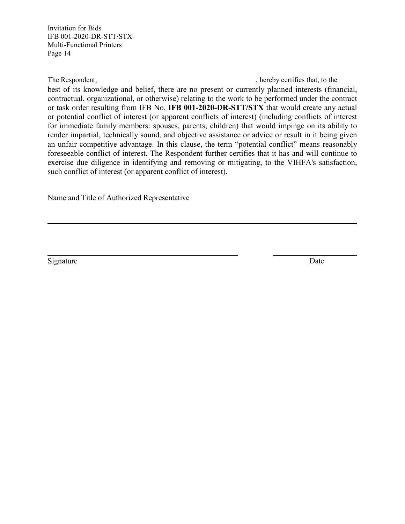The Respondent, **Sancture 2018** (2018), hereby certifies that, to the best of its knowledge and belief, there are no present or currently planned interests (financial, contractual, organizational, or otherwise) relating to the work to be performed under the contract or task order resulting from IFB No. **IFB 001-2020-DR-STT/STX** that would create any actual or potential conflict of interest (or apparent conflicts of interest) (including conflicts of interest for immediate family members: spouses, parents, children) that would impinge on its ability to render impartial, technically sound, and objective assistance or advice or result in it being given an unfair competitive advantage. In this clause, the term "potential conflict" means reasonably foreseeable conflict of interest. The Respondent further certifies that it has and will continue to exercise due diligence in identifying and removing or mitigating, to the VIHFA's satisfaction, such conflict of interest (or apparent conflict of interest).

Name and Title of Authorized Representative

Signature Date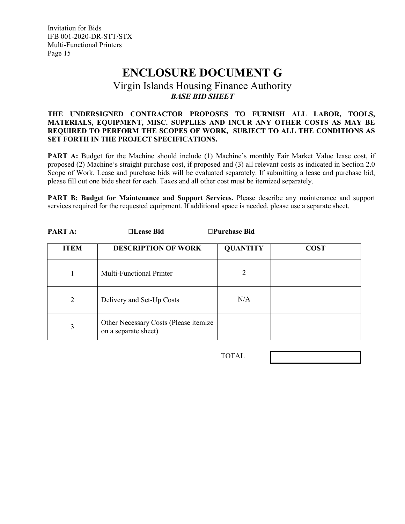## **ENCLOSURE DOCUMENT G**

### Virgin Islands Housing Finance Authority *BASE BID SHEET*

#### <span id="page-16-0"></span>**THE UNDERSIGNED CONTRACTOR PROPOSES TO FURNISH ALL LABOR, TOOLS, MATERIALS, EQUIPMENT, MISC. SUPPLIES AND INCUR ANY OTHER COSTS AS MAY BE REQUIRED TO PERFORM THE SCOPES OF WORK, SUBJECT TO ALL THE CONDITIONS AS SET FORTH IN THE PROJECT SPECIFICATIONS.**

**PART A:** Budget for the Machine should include (1) Machine's monthly Fair Market Value lease cost, if proposed (2) Machine's straight purchase cost, if proposed and (3) all relevant costs as indicated in Section 2.0 Scope of Work. Lease and purchase bids will be evaluated separately. If submitting a lease and purchase bid, please fill out one bide sheet for each. Taxes and all other cost must be itemized separately.

**PART B: Budget for Maintenance and Support Services.** Please describe any maintenance and support services required for the requested equipment. If additional space is needed, please use a separate sheet.

| <b>ITEM</b> | <b>DESCRIPTION OF WORK</b>                                    | <b>QUANTITY</b> | <b>COST</b> |
|-------------|---------------------------------------------------------------|-----------------|-------------|
|             | <b>Multi-Functional Printer</b>                               |                 |             |
| 2           | Delivery and Set-Up Costs                                     | N/A             |             |
| 3           | Other Necessary Costs (Please itemize<br>on a separate sheet) |                 |             |

**PART A: Lease Bid Purchase Bid**

TOTAL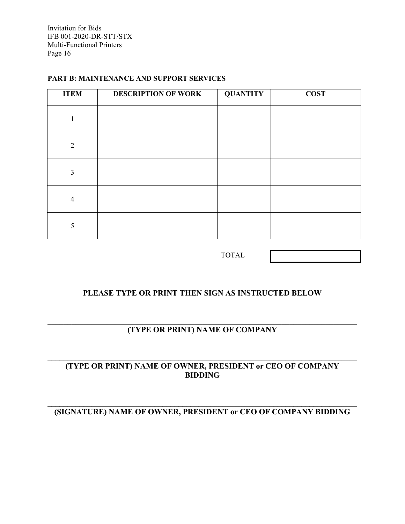#### <span id="page-17-0"></span>**PART B: MAINTENANCE AND SUPPORT SERVICES**

| <b>ITEM</b>    | <b>DESCRIPTION OF WORK</b> | <b>QUANTITY</b> | <b>COST</b> |
|----------------|----------------------------|-----------------|-------------|
|                |                            |                 |             |
| $\overline{2}$ |                            |                 |             |
| 3              |                            |                 |             |
| $\overline{4}$ |                            |                 |             |
| 5              |                            |                 |             |

TOTAL

### **PLEASE TYPE OR PRINT THEN SIGN AS INSTRUCTED BELOW**

#### **\_\_\_\_\_\_\_\_\_\_\_\_\_\_\_\_\_\_\_\_\_\_\_\_\_\_\_\_\_\_\_\_\_\_\_\_\_\_\_\_\_\_\_\_\_\_\_\_\_\_\_\_\_\_\_\_\_\_\_\_\_\_\_\_\_\_\_\_\_\_\_\_\_\_\_\_\_\_ (TYPE OR PRINT) NAME OF COMPANY**

#### **\_\_\_\_\_\_\_\_\_\_\_\_\_\_\_\_\_\_\_\_\_\_\_\_\_\_\_\_\_\_\_\_\_\_\_\_\_\_\_\_\_\_\_\_\_\_\_\_\_\_\_\_\_\_\_\_\_\_\_\_\_\_\_\_\_\_\_\_\_\_\_\_\_\_\_\_\_\_ (TYPE OR PRINT) NAME OF OWNER, PRESIDENT or CEO OF COMPANY BIDDING**

#### **\_\_\_\_\_\_\_\_\_\_\_\_\_\_\_\_\_\_\_\_\_\_\_\_\_\_\_\_\_\_\_\_\_\_\_\_\_\_\_\_\_\_\_\_\_\_\_\_\_\_\_\_\_\_\_\_\_\_\_\_\_\_\_\_\_\_\_\_\_\_\_\_\_\_\_\_\_\_ (SIGNATURE) NAME OF OWNER, PRESIDENT or CEO OF COMPANY BIDDING**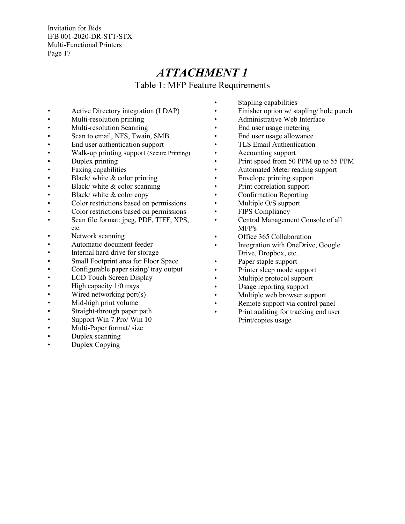## *ATTACHMENT 1*

Table 1: MFP Feature Requirements

- Active Directory integration (LDAP)
- Multi-resolution printing
- Multi-resolution Scanning
- Scan to email, NFS, Twain, SMB
- End user authentication support
- Walk-up printing support (Secure Printing)
- Duplex printing
- Faxing capabilities
- Black/ white & color printing
- Black/ white  $&$  color scanning
- Black/ white & color copy
- Color restrictions based on permissions
- Color restrictions based on permissions
- Scan file format: jpeg, PDF, TIFF, XPS, etc.
- Network scanning
- Automatic document feeder
- Internal hard drive for storage
- Small Footprint area for Floor Space
- Configurable paper sizing/ tray output
- LCD Touch Screen Display
- High capacity 1/0 trays
- Wired networking port(s)
- Mid-high print volume
- Straight-through paper path
- Support Win 7 Pro/ Win 10
- Multi-Paper format/ size
- Duplex scanning
- Duplex Copying
- Stapling capabilities
- Finisher option w/ stapling/ hole punch
- Administrative Web Interface
- End user usage metering
- End user usage allowance
- TLS Email Authentication
- Accounting support
- Print speed from 50 PPM up to 55 PPM
- Automated Meter reading support
- Envelope printing support
- Print correlation support
- Confirmation Reporting
- Multiple O/S support
- FIPS Compliancy
- Central Management Console of all MFP's
- Office 365 Collaboration
- Integration with OneDrive, Google Drive, Dropbox, etc.
- Paper staple support
- Printer sleep mode support
- Multiple protocol support
- Usage reporting support
- Multiple web browser support
- Remote support via control panel
- Print auditing for tracking end user Print/copies usage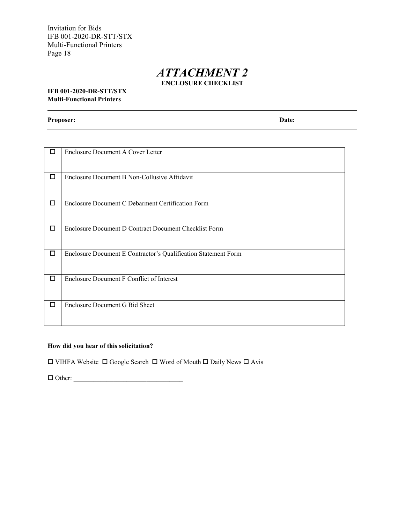### *ATTACHMENT 2* **ENCLOSURE CHECKLIST**

#### <span id="page-19-1"></span><span id="page-19-0"></span>**IFB 001-2020-DR-STT/STX Multi-Functional Printers**

**Proposer: Date:**

| □ | Enclosure Document A Cover Letter                              |
|---|----------------------------------------------------------------|
| ◻ | Enclosure Document B Non-Collusive Affidavit                   |
| □ | Enclosure Document C Debarment Certification Form              |
| □ | Enclosure Document D Contract Document Checklist Form          |
| П | Enclosure Document E Contractor's Qualification Statement Form |
| □ | Enclosure Document F Conflict of Interest                      |
| □ | Enclosure Document G Bid Sheet                                 |

#### **How did you hear of this solicitation?**

 $\square$  VIHFA Website  $\square$  Google Search  $\square$  Word of Mouth  $\square$  Daily News  $\square$  Avis

Other: \_\_\_\_\_\_\_\_\_\_\_\_\_\_\_\_\_\_\_\_\_\_\_\_\_\_\_\_\_\_\_\_\_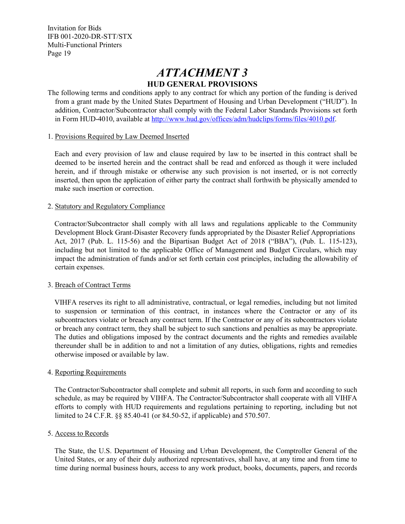## *ATTACHMENT 3* **HUD GENERAL PROVISIONS**

The following terms and conditions apply to any contract for which any portion of the funding is derived from a grant made by the United States Department of Housing and Urban Development ("HUD"). In addition, Contractor/Subcontractor shall comply with the Federal Labor Standards Provisions set forth in Form HUD-4010, available at [http://www.hud.gov/offices/adm/hudclips/forms/files/4010.pdf.](http://www.hud.gov/offices/adm/hudclips/forms/files/4010.pdf)

#### 1. Provisions Required by Law Deemed Inserted

Each and every provision of law and clause required by law to be inserted in this contract shall be deemed to be inserted herein and the contract shall be read and enforced as though it were included herein, and if through mistake or otherwise any such provision is not inserted, or is not correctly inserted, then upon the application of either party the contract shall forthwith be physically amended to make such insertion or correction.

#### 2. Statutory and Regulatory Compliance

Contractor/Subcontractor shall comply with all laws and regulations applicable to the Community Development Block Grant-Disaster Recovery funds appropriated by the Disaster Relief Appropriations Act, 2017 (Pub. L. 115-56) and the Bipartisan Budget Act of 2018 ("BBA"), (Pub. L. 115-123), including but not limited to the applicable Office of Management and Budget Circulars, which may impact the administration of funds and/or set forth certain cost principles, including the allowability of certain expenses.

#### 3. Breach of Contract Terms

VIHFA reserves its right to all administrative, contractual, or legal remedies, including but not limited to suspension or termination of this contract, in instances where the Contractor or any of its subcontractors violate or breach any contract term. If the Contractor or any of its subcontractors violate or breach any contract term, they shall be subject to such sanctions and penalties as may be appropriate. The duties and obligations imposed by the contract documents and the rights and remedies available thereunder shall be in addition to and not a limitation of any duties, obligations, rights and remedies otherwise imposed or available by law.

#### 4. Reporting Requirements

The Contractor/Subcontractor shall complete and submit all reports, in such form and according to such schedule, as may be required by VIHFA. The Contractor/Subcontractor shall cooperate with all VIHFA efforts to comply with HUD requirements and regulations pertaining to reporting, including but not limited to 24 C.F.R. §§ 85.40-41 (or 84.50-52, if applicable) and 570.507.

#### 5. Access to Records

The State, the U.S. Department of Housing and Urban Development, the Comptroller General of the United States, or any of their duly authorized representatives, shall have, at any time and from time to time during normal business hours, access to any work product, books, documents, papers, and records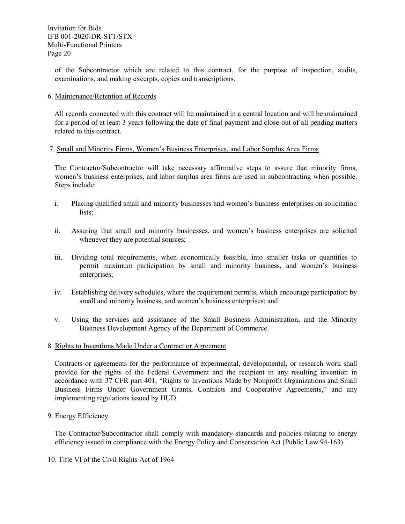of the Subcontractor which are related to this contract, for the purpose of inspection, audits, examinations, and making excerpts, copies and transcriptions.

6. Maintenance/Retention of Records

All records connected with this contract will be maintained in a central location and will be maintained for a period of at least 3 years following the date of final payment and close-out of all pending matters related to this contract.

#### 7. Small and Minority Firms, Women's Business Enterprises, and Labor Surplus Area Firms

The Contractor/Subcontractor will take necessary affirmative steps to assure that minority firms, women's business enterprises, and labor surplus area firms are used in subcontracting when possible. Steps include:

- i. Placing qualified small and minority businesses and women's business enterprises on solicitation lists;
- ii. Assuring that small and minority businesses, and women's business enterprises are solicited whenever they are potential sources;
- iii. Dividing total requirements, when economically feasible, into smaller tasks or quantities to permit maximum participation by small and minority business, and women's business enterprises;
- iv. Establishing delivery schedules, where the requirement permits, which encourage participation by small and minority business, and women's business enterprises; and
- v. Using the services and assistance of the Small Business Administration, and the Minority Business Development Agency of the Department of Commerce.
- 8. Rights to Inventions Made Under a Contract or Agreement

Contracts or agreements for the performance of experimental, developmental, or research work shall provide for the rights of the Federal Government and the recipient in any resulting invention in accordance with 37 CFR part 401, "Rights to Inventions Made by Nonprofit Organizations and Small Business Firms Under Government Grants, Contracts and Cooperative Agreements," and any implementing regulations issued by HUD.

9. Energy Efficiency

The Contractor/Subcontractor shall comply with mandatory standards and policies relating to energy efficiency issued in compliance with the Energy Policy and Conservation Act (Public Law 94-163).

#### 10. Title VI of the Civil Rights Act of 1964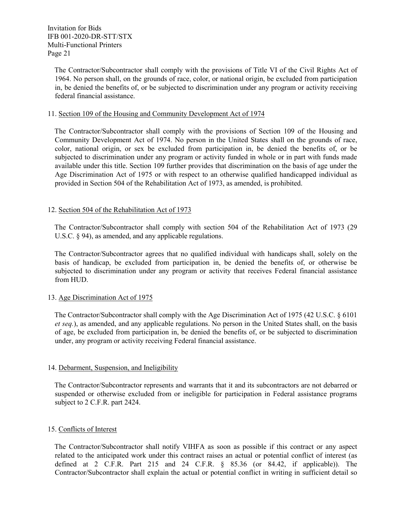The Contractor/Subcontractor shall comply with the provisions of Title VI of the Civil Rights Act of 1964. No person shall, on the grounds of race, color, or national origin, be excluded from participation in, be denied the benefits of, or be subjected to discrimination under any program or activity receiving federal financial assistance.

#### 11. Section 109 of the Housing and Community Development Act of 1974

The Contractor/Subcontractor shall comply with the provisions of Section 109 of the Housing and Community Development Act of 1974. No person in the United States shall on the grounds of race, color, national origin, or sex be excluded from participation in, be denied the benefits of, or be subjected to discrimination under any program or activity funded in whole or in part with funds made available under this title. Section 109 further provides that discrimination on the basis of age under the Age Discrimination Act of 1975 or with respect to an otherwise qualified handicapped individual as provided in Section 504 of the Rehabilitation Act of 1973, as amended, is prohibited.

#### 12. Section 504 of the Rehabilitation Act of 1973

The Contractor/Subcontractor shall comply with section 504 of the Rehabilitation Act of 1973 (29 U.S.C. § 94), as amended, and any applicable regulations.

The Contractor/Subcontractor agrees that no qualified individual with handicaps shall, solely on the basis of handicap, be excluded from participation in, be denied the benefits of, or otherwise be subjected to discrimination under any program or activity that receives Federal financial assistance from HUD.

#### 13. Age Discrimination Act of 1975

The Contractor/Subcontractor shall comply with the Age Discrimination Act of 1975 (42 U.S.C. § 6101 *et seq.*), as amended, and any applicable regulations. No person in the United States shall, on the basis of age, be excluded from participation in, be denied the benefits of, or be subjected to discrimination under, any program or activity receiving Federal financial assistance.

#### 14. Debarment, Suspension, and Ineligibility

The Contractor/Subcontractor represents and warrants that it and its subcontractors are not debarred or suspended or otherwise excluded from or ineligible for participation in Federal assistance programs subject to 2 C.F.R. part 2424.

#### 15. Conflicts of Interest

The Contractor/Subcontractor shall notify VIHFA as soon as possible if this contract or any aspect related to the anticipated work under this contract raises an actual or potential conflict of interest (as defined at 2 C.F.R. Part 215 and 24 C.F.R. § 85.36 (or 84.42, if applicable)). The Contractor/Subcontractor shall explain the actual or potential conflict in writing in sufficient detail so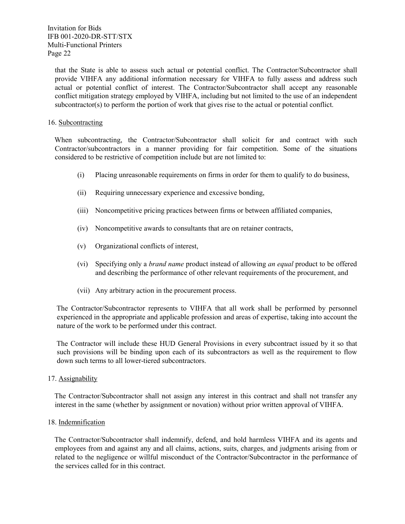that the State is able to assess such actual or potential conflict. The Contractor/Subcontractor shall provide VIHFA any additional information necessary for VIHFA to fully assess and address such actual or potential conflict of interest. The Contractor/Subcontractor shall accept any reasonable conflict mitigation strategy employed by VIHFA, including but not limited to the use of an independent subcontractor(s) to perform the portion of work that gives rise to the actual or potential conflict.

#### 16. Subcontracting

When subcontracting, the Contractor/Subcontractor shall solicit for and contract with such Contractor/subcontractors in a manner providing for fair competition. Some of the situations considered to be restrictive of competition include but are not limited to:

- (i) Placing unreasonable requirements on firms in order for them to qualify to do business,
- (ii) Requiring unnecessary experience and excessive bonding,
- (iii) Noncompetitive pricing practices between firms or between affiliated companies,
- (iv) Noncompetitive awards to consultants that are on retainer contracts,
- (v) Organizational conflicts of interest,
- (vi) Specifying only a *brand name* product instead of allowing *an equal* product to be offered and describing the performance of other relevant requirements of the procurement, and
- (vii) Any arbitrary action in the procurement process.

The Contractor/Subcontractor represents to VIHFA that all work shall be performed by personnel experienced in the appropriate and applicable profession and areas of expertise, taking into account the nature of the work to be performed under this contract.

The Contractor will include these HUD General Provisions in every subcontract issued by it so that such provisions will be binding upon each of its subcontractors as well as the requirement to flow down such terms to all lower-tiered subcontractors.

#### 17. Assignability

The Contractor/Subcontractor shall not assign any interest in this contract and shall not transfer any interest in the same (whether by assignment or novation) without prior written approval of VIHFA.

#### 18. Indemnification

The Contractor/Subcontractor shall indemnify, defend, and hold harmless VIHFA and its agents and employees from and against any and all claims, actions, suits, charges, and judgments arising from or related to the negligence or willful misconduct of the Contractor/Subcontractor in the performance of the services called for in this contract.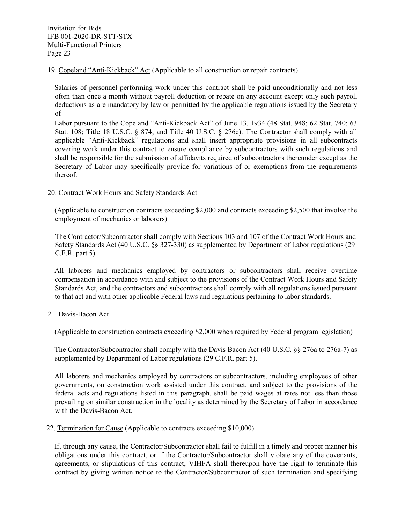19. Copeland "Anti-Kickback" Act (Applicable to all construction or repair contracts)

Salaries of personnel performing work under this contract shall be paid unconditionally and not less often than once a month without payroll deduction or rebate on any account except only such payroll deductions as are mandatory by law or permitted by the applicable regulations issued by the Secretary of

Labor pursuant to the Copeland "Anti-Kickback Act" of June 13, 1934 (48 Stat. 948; 62 Stat. 740; 63 Stat. 108; Title 18 U.S.C. § 874; and Title 40 U.S.C. § 276c). The Contractor shall comply with all applicable "Anti-Kickback" regulations and shall insert appropriate provisions in all subcontracts covering work under this contract to ensure compliance by subcontractors with such regulations and shall be responsible for the submission of affidavits required of subcontractors thereunder except as the Secretary of Labor may specifically provide for variations of or exemptions from the requirements thereof.

#### 20. Contract Work Hours and Safety Standards Act

(Applicable to construction contracts exceeding \$2,000 and contracts exceeding \$2,500 that involve the employment of mechanics or laborers)

The Contractor/Subcontractor shall comply with Sections 103 and 107 of the Contract Work Hours and Safety Standards Act (40 U.S.C. §§ 327-330) as supplemented by Department of Labor regulations (29 C.F.R. part 5).

All laborers and mechanics employed by contractors or subcontractors shall receive overtime compensation in accordance with and subject to the provisions of the Contract Work Hours and Safety Standards Act, and the contractors and subcontractors shall comply with all regulations issued pursuant to that act and with other applicable Federal laws and regulations pertaining to labor standards.

#### 21. Davis-Bacon Act

(Applicable to construction contracts exceeding \$2,000 when required by Federal program legislation)

The Contractor/Subcontractor shall comply with the Davis Bacon Act (40 U.S.C. §§ 276a to 276a-7) as supplemented by Department of Labor regulations (29 C.F.R. part 5).

All laborers and mechanics employed by contractors or subcontractors, including employees of other governments, on construction work assisted under this contract, and subject to the provisions of the federal acts and regulations listed in this paragraph, shall be paid wages at rates not less than those prevailing on similar construction in the locality as determined by the Secretary of Labor in accordance with the Davis-Bacon Act.

#### 22. Termination for Cause (Applicable to contracts exceeding \$10,000)

If, through any cause, the Contractor/Subcontractor shall fail to fulfill in a timely and proper manner his obligations under this contract, or if the Contractor/Subcontractor shall violate any of the covenants, agreements, or stipulations of this contract, VIHFA shall thereupon have the right to terminate this contract by giving written notice to the Contractor/Subcontractor of such termination and specifying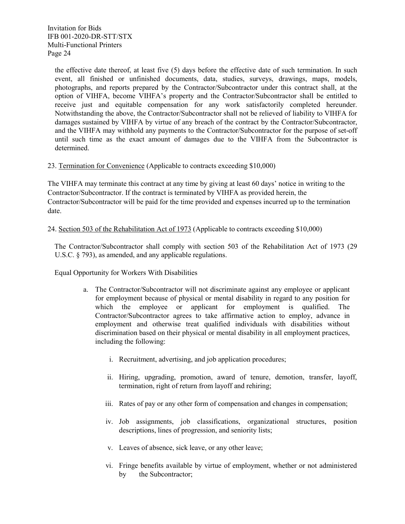the effective date thereof, at least five (5) days before the effective date of such termination. In such event, all finished or unfinished documents, data, studies, surveys, drawings, maps, models, photographs, and reports prepared by the Contractor/Subcontractor under this contract shall, at the option of VIHFA, become VIHFA's property and the Contractor/Subcontractor shall be entitled to receive just and equitable compensation for any work satisfactorily completed hereunder. Notwithstanding the above, the Contractor/Subcontractor shall not be relieved of liability to VIHFA for damages sustained by VIHFA by virtue of any breach of the contract by the Contractor/Subcontractor, and the VIHFA may withhold any payments to the Contractor/Subcontractor for the purpose of set-off until such time as the exact amount of damages due to the VIHFA from the Subcontractor is determined.

23. Termination for Convenience (Applicable to contracts exceeding \$10,000)

The VIHFA may terminate this contract at any time by giving at least 60 days' notice in writing to the Contractor/Subcontractor. If the contract is terminated by VIHFA as provided herein, the Contractor/Subcontractor will be paid for the time provided and expenses incurred up to the termination date.

#### 24. Section 503 of the Rehabilitation Act of 1973 (Applicable to contracts exceeding \$10,000)

The Contractor/Subcontractor shall comply with section 503 of the Rehabilitation Act of 1973 (29 U.S.C. § 793), as amended, and any applicable regulations.

Equal Opportunity for Workers With Disabilities

- a. The Contractor/Subcontractor will not discriminate against any employee or applicant for employment because of physical or mental disability in regard to any position for which the employee or applicant for employment is qualified. The Contractor/Subcontractor agrees to take affirmative action to employ, advance in employment and otherwise treat qualified individuals with disabilities without discrimination based on their physical or mental disability in all employment practices, including the following:
	- i. Recruitment, advertising, and job application procedures;
	- ii. Hiring, upgrading, promotion, award of tenure, demotion, transfer, layoff, termination, right of return from layoff and rehiring;
	- iii. Rates of pay or any other form of compensation and changes in compensation;
	- iv. Job assignments, job classifications, organizational structures, position descriptions, lines of progression, and seniority lists;
	- v. Leaves of absence, sick leave, or any other leave;
	- vi. Fringe benefits available by virtue of employment, whether or not administered by the Subcontractor;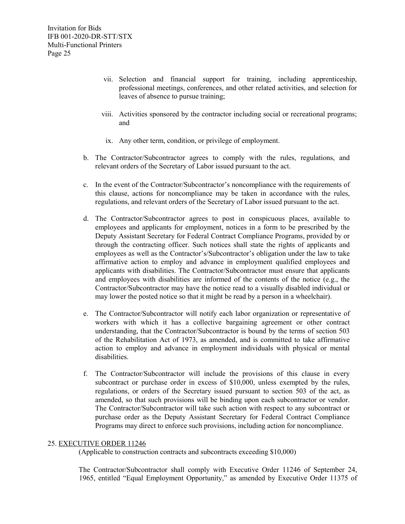- vii. Selection and financial support for training, including apprenticeship, professional meetings, conferences, and other related activities, and selection for leaves of absence to pursue training;
- viii. Activities sponsored by the contractor including social or recreational programs; and
- ix. Any other term, condition, or privilege of employment.
- b. The Contractor/Subcontractor agrees to comply with the rules, regulations, and relevant orders of the Secretary of Labor issued pursuant to the act.
- c. In the event of the Contractor/Subcontractor's noncompliance with the requirements of this clause, actions for noncompliance may be taken in accordance with the rules, regulations, and relevant orders of the Secretary of Labor issued pursuant to the act.
- d. The Contractor/Subcontractor agrees to post in conspicuous places, available to employees and applicants for employment, notices in a form to be prescribed by the Deputy Assistant Secretary for Federal Contract Compliance Programs, provided by or through the contracting officer. Such notices shall state the rights of applicants and employees as well as the Contractor's/Subcontractor's obligation under the law to take affirmative action to employ and advance in employment qualified employees and applicants with disabilities. The Contractor/Subcontractor must ensure that applicants and employees with disabilities are informed of the contents of the notice (e.g., the Contractor/Subcontractor may have the notice read to a visually disabled individual or may lower the posted notice so that it might be read by a person in a wheelchair).
- e. The Contractor/Subcontractor will notify each labor organization or representative of workers with which it has a collective bargaining agreement or other contract understanding, that the Contractor/Subcontractor is bound by the terms of section 503 of the Rehabilitation Act of 1973, as amended, and is committed to take affirmative action to employ and advance in employment individuals with physical or mental disabilities.
- f. The Contractor/Subcontractor will include the provisions of this clause in every subcontract or purchase order in excess of \$10,000, unless exempted by the rules, regulations, or orders of the Secretary issued pursuant to section 503 of the act, as amended, so that such provisions will be binding upon each subcontractor or vendor. The Contractor/Subcontractor will take such action with respect to any subcontract or purchase order as the Deputy Assistant Secretary for Federal Contract Compliance Programs may direct to enforce such provisions, including action for noncompliance.

#### 25. EXECUTIVE ORDER 11246

(Applicable to construction contracts and subcontracts exceeding \$10,000)

The Contractor/Subcontractor shall comply with Executive Order 11246 of September 24, 1965, entitled "Equal Employment Opportunity," as amended by Executive Order 11375 of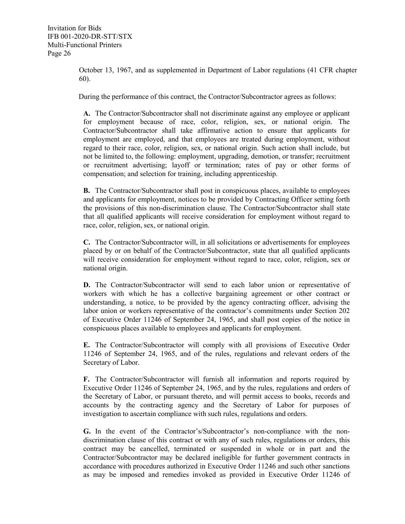October 13, 1967, and as supplemented in Department of Labor regulations (41 CFR chapter 60).

During the performance of this contract, the Contractor/Subcontractor agrees as follows:

**A.** The Contractor/Subcontractor shall not discriminate against any employee or applicant for employment because of race, color, religion, sex, or national origin. The Contractor/Subcontractor shall take affirmative action to ensure that applicants for employment are employed, and that employees are treated during employment, without regard to their race, color, religion, sex, or national origin. Such action shall include, but not be limited to, the following: employment, upgrading, demotion, or transfer; recruitment or recruitment advertising; layoff or termination; rates of pay or other forms of compensation; and selection for training, including apprenticeship.

**B.** The Contractor/Subcontractor shall post in conspicuous places, available to employees and applicants for employment, notices to be provided by Contracting Officer setting forth the provisions of this non-discrimination clause. The Contractor/Subcontractor shall state that all qualified applicants will receive consideration for employment without regard to race, color, religion, sex, or national origin.

**C.** The Contractor/Subcontractor will, in all solicitations or advertisements for employees placed by or on behalf of the Contractor/Subcontractor, state that all qualified applicants will receive consideration for employment without regard to race, color, religion, sex or national origin.

**D.** The Contractor/Subcontractor will send to each labor union or representative of workers with which he has a collective bargaining agreement or other contract or understanding, a notice, to be provided by the agency contracting officer, advising the labor union or workers representative of the contractor's commitments under Section 202 of Executive Order 11246 of September 24, 1965, and shall post copies of the notice in conspicuous places available to employees and applicants for employment.

**E.** The Contractor/Subcontractor will comply with all provisions of Executive Order 11246 of September 24, 1965, and of the rules, regulations and relevant orders of the Secretary of Labor.

**F.** The Contractor/Subcontractor will furnish all information and reports required by Executive Order 11246 of September 24, 1965, and by the rules, regulations and orders of the Secretary of Labor, or pursuant thereto, and will permit access to books, records and accounts by the contracting agency and the Secretary of Labor for purposes of investigation to ascertain compliance with such rules, regulations and orders.

**G.** In the event of the Contractor's/Subcontractor's non-compliance with the nondiscrimination clause of this contract or with any of such rules, regulations or orders, this contract may be cancelled, terminated or suspended in whole or in part and the Contractor/Subcontractor may be declared ineligible for further government contracts in accordance with procedures authorized in Executive Order 11246 and such other sanctions as may be imposed and remedies invoked as provided in Executive Order 11246 of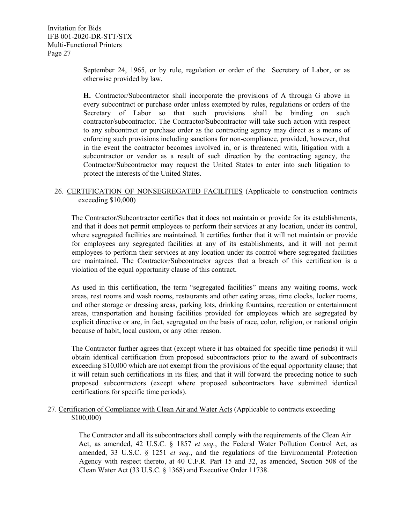September 24, 1965, or by rule, regulation or order of the Secretary of Labor, or as otherwise provided by law.

**H.** Contractor/Subcontractor shall incorporate the provisions of A through G above in every subcontract or purchase order unless exempted by rules, regulations or orders of the Secretary of Labor so that such provisions shall be binding on such contractor/subcontractor. The Contractor/Subcontractor will take such action with respect to any subcontract or purchase order as the contracting agency may direct as a means of enforcing such provisions including sanctions for non-compliance, provided, however, that in the event the contractor becomes involved in, or is threatened with, litigation with a subcontractor or vendor as a result of such direction by the contracting agency, the Contractor/Subcontractor may request the United States to enter into such litigation to protect the interests of the United States.

#### 26. CERTIFICATION OF NONSEGREGATED FACILITIES (Applicable to construction contracts exceeding \$10,000)

The Contractor/Subcontractor certifies that it does not maintain or provide for its establishments, and that it does not permit employees to perform their services at any location, under its control, where segregated facilities are maintained. It certifies further that it will not maintain or provide for employees any segregated facilities at any of its establishments, and it will not permit employees to perform their services at any location under its control where segregated facilities are maintained. The Contractor/Subcontractor agrees that a breach of this certification is a violation of the equal opportunity clause of this contract.

As used in this certification, the term "segregated facilities" means any waiting rooms, work areas, rest rooms and wash rooms, restaurants and other eating areas, time clocks, locker rooms, and other storage or dressing areas, parking lots, drinking fountains, recreation or entertainment areas, transportation and housing facilities provided for employees which are segregated by explicit directive or are, in fact, segregated on the basis of race, color, religion, or national origin because of habit, local custom, or any other reason.

The Contractor further agrees that (except where it has obtained for specific time periods) it will obtain identical certification from proposed subcontractors prior to the award of subcontracts exceeding \$10,000 which are not exempt from the provisions of the equal opportunity clause; that it will retain such certifications in its files; and that it will forward the preceding notice to such proposed subcontractors (except where proposed subcontractors have submitted identical certifications for specific time periods).

#### 27. Certification of Compliance with Clean Air and Water Acts (Applicable to contracts exceeding \$100,000)

The Contractor and all its subcontractors shall comply with the requirements of the Clean Air Act, as amended, 42 U.S.C. § 1857 *et seq.*, the Federal Water Pollution Control Act, as amended, 33 U.S.C. § 1251 *et seq.*, and the regulations of the Environmental Protection Agency with respect thereto, at 40 C.F.R. Part 15 and 32, as amended, Section 508 of the Clean Water Act (33 U.S.C. § 1368) and Executive Order 11738.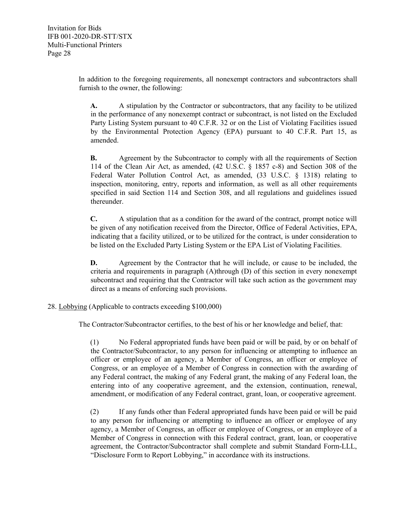In addition to the foregoing requirements, all nonexempt contractors and subcontractors shall furnish to the owner, the following:

**A.** A stipulation by the Contractor or subcontractors, that any facility to be utilized in the performance of any nonexempt contract or subcontract, is not listed on the Excluded Party Listing System pursuant to 40 C.F.R. 32 or on the List of Violating Facilities issued by the Environmental Protection Agency (EPA) pursuant to 40 C.F.R. Part 15, as amended.

**B.** Agreement by the Subcontractor to comply with all the requirements of Section 114 of the Clean Air Act, as amended, (42 U.S.C. § 1857 c-8) and Section 308 of the Federal Water Pollution Control Act, as amended, (33 U.S.C. § 1318) relating to inspection, monitoring, entry, reports and information, as well as all other requirements specified in said Section 114 and Section 308, and all regulations and guidelines issued thereunder.

**C.** A stipulation that as a condition for the award of the contract, prompt notice will be given of any notification received from the Director, Office of Federal Activities, EPA, indicating that a facility utilized, or to be utilized for the contract, is under consideration to be listed on the Excluded Party Listing System or the EPA List of Violating Facilities.

**D.** Agreement by the Contractor that he will include, or cause to be included, the criteria and requirements in paragraph (A)through (D) of this section in every nonexempt subcontract and requiring that the Contractor will take such action as the government may direct as a means of enforcing such provisions.

#### 28. Lobbying (Applicable to contracts exceeding \$100,000)

The Contractor/Subcontractor certifies, to the best of his or her knowledge and belief, that:

(1) No Federal appropriated funds have been paid or will be paid, by or on behalf of the Contractor/Subcontractor, to any person for influencing or attempting to influence an officer or employee of an agency, a Member of Congress, an officer or employee of Congress, or an employee of a Member of Congress in connection with the awarding of any Federal contract, the making of any Federal grant, the making of any Federal loan, the entering into of any cooperative agreement, and the extension, continuation, renewal, amendment, or modification of any Federal contract, grant, loan, or cooperative agreement.

(2) If any funds other than Federal appropriated funds have been paid or will be paid to any person for influencing or attempting to influence an officer or employee of any agency, a Member of Congress, an officer or employee of Congress, or an employee of a Member of Congress in connection with this Federal contract, grant, loan, or cooperative agreement, the Contractor/Subcontractor shall complete and submit Standard Form-LLL, "Disclosure Form to Report Lobbying," in accordance with its instructions.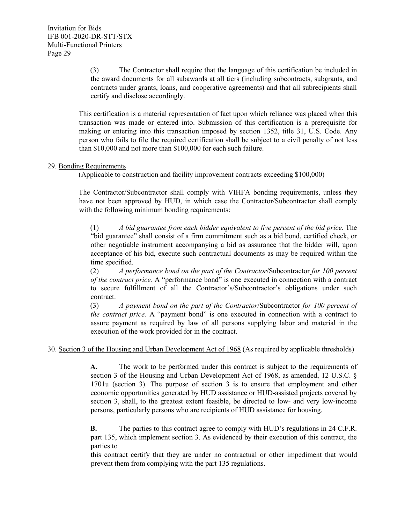(3) The Contractor shall require that the language of this certification be included in the award documents for all subawards at all tiers (including subcontracts, subgrants, and contracts under grants, loans, and cooperative agreements) and that all subrecipients shall certify and disclose accordingly.

This certification is a material representation of fact upon which reliance was placed when this transaction was made or entered into. Submission of this certification is a prerequisite for making or entering into this transaction imposed by section 1352, title 31, U.S. Code. Any person who fails to file the required certification shall be subject to a civil penalty of not less than \$10,000 and not more than \$100,000 for each such failure.

#### 29. Bonding Requirements

(Applicable to construction and facility improvement contracts exceeding \$100,000)

The Contractor/Subcontractor shall comply with VIHFA bonding requirements, unless they have not been approved by HUD, in which case the Contractor/Subcontractor shall comply with the following minimum bonding requirements:

(1) *A bid guarantee from each bidder equivalent to five percent of the bid price.* The "bid guarantee" shall consist of a firm commitment such as a bid bond, certified check, or other negotiable instrument accompanying a bid as assurance that the bidder will, upon acceptance of his bid, execute such contractual documents as may be required within the time specified.

(2) *A performance bond on the part of the Contractor*/Subcontractor *for 100 percent of the contract price.* A "performance bond" is one executed in connection with a contract to secure fulfillment of all the Contractor's/Subcontractor's obligations under such contract.

(3) *A payment bond on the part of the Contractor*/Subcontractor *for 100 percent of the contract price.* A "payment bond" is one executed in connection with a contract to assure payment as required by law of all persons supplying labor and material in the execution of the work provided for in the contract.

30. Section 3 of the Housing and Urban Development Act of 1968 (As required by applicable thresholds)

**A.** The work to be performed under this contract is subject to the requirements of section 3 of the Housing and Urban Development Act of 1968, as amended, 12 U.S.C. § 1701u (section 3). The purpose of section 3 is to ensure that employment and other economic opportunities generated by HUD assistance or HUD-assisted projects covered by section 3, shall, to the greatest extent feasible, be directed to low- and very low-income persons, particularly persons who are recipients of HUD assistance for housing.

**B.** The parties to this contract agree to comply with HUD's regulations in 24 C.F.R. part 135, which implement section 3. As evidenced by their execution of this contract, the parties to

this contract certify that they are under no contractual or other impediment that would prevent them from complying with the part 135 regulations.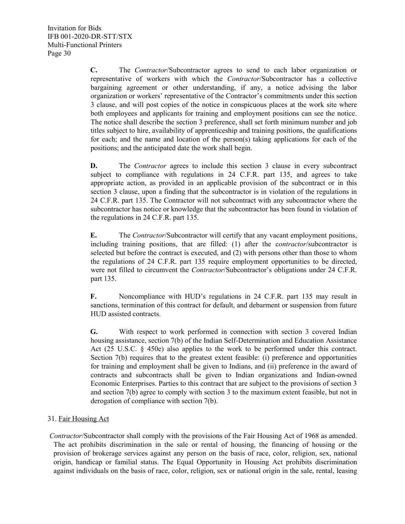**C.** The *Contractor*/Subcontractor agrees to send to each labor organization or representative of workers with which the *Contractor*/Subcontractor has a collective bargaining agreement or other understanding, if any, a notice advising the labor organization or workers' representative of the Contractor's commitments under this section 3 clause, and will post copies of the notice in conspicuous places at the work site where both employees and applicants for training and employment positions can see the notice. The notice shall describe the section 3 preference, shall set forth minimum number and job titles subject to hire, availability of apprenticeship and training positions, the qualifications for each; and the name and location of the person(s) taking applications for each of the positions; and the anticipated date the work shall begin.

**D.** The *Contractor* agrees to include this section 3 clause in every subcontract subject to compliance with regulations in 24 C.F.R. part 135, and agrees to take appropriate action, as provided in an applicable provision of the subcontract or in this section 3 clause, upon a finding that the subcontractor is in violation of the regulations in 24 C.F.R. part 135. The Contractor will not subcontract with any subcontractor where the subcontractor has notice or knowledge that the subcontractor has been found in violation of the regulations in 24 C.F.R. part 135.

**E.** The *Contractor*/Subcontractor will certify that any vacant employment positions, including training positions, that are filled: (1) after the c*ontractor*/subcontractor is selected but before the contract is executed, and (2) with persons other than those to whom the regulations of 24 C.F.R. part 135 require employment opportunities to be directed, were not filled to circumvent the *Contractor*/Subcontractor's obligations under 24 C.F.R. part 135.

**F.** Noncompliance with HUD's regulations in 24 C.F.R. part 135 may result in sanctions, termination of this contract for default, and debarment or suspension from future HUD assisted contracts.

**G.** With respect to work performed in connection with section 3 covered Indian housing assistance, section 7(b) of the Indian Self-Determination and Education Assistance Act (25 U.S.C. § 450e) also applies to the work to be performed under this contract. Section 7(b) requires that to the greatest extent feasible: (i) preference and opportunities for training and employment shall be given to Indians, and (ii) preference in the award of contracts and subcontracts shall be given to Indian organizations and Indian-owned Economic Enterprises. Parties to this contract that are subject to the provisions of section 3 and section 7(b) agree to comply with section 3 to the maximum extent feasible, but not in derogation of compliance with section 7(b).

#### 31. Fair Housing Act

*Contractor*/Subcontractor shall comply with the provisions of the Fair Housing Act of 1968 as amended. The act prohibits discrimination in the sale or rental of housing, the financing of housing or the provision of brokerage services against any person on the basis of race, color, religion, sex, national origin, handicap or familial status. The Equal Opportunity in Housing Act prohibits discrimination against individuals on the basis of race, color, religion, sex or national origin in the sale, rental, leasing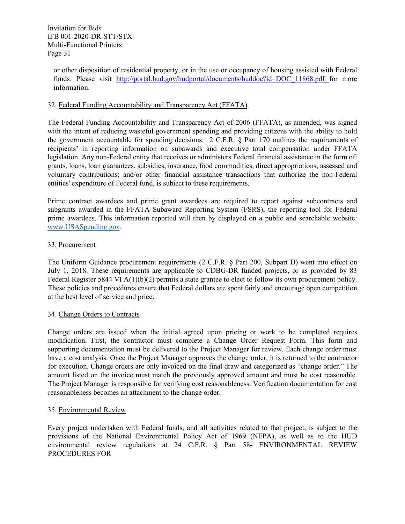or other disposition of residential property, or in the use or occupancy of housing assisted with Federal funds. Please visit http://portal.hud.gov/hudportal/documents/huddoc?id=DOC 11868.pdf for more information.

#### 32. Federal Funding Accountability and Transparency Act (FFATA)

The Federal Funding Accountability and Transparency Act of 2006 (FFATA), as amended, was signed with the intent of reducing wasteful government spending and providing citizens with the ability to hold the government accountable for spending decisions. 2 C.F.R. § Part 170 outlines the requirements of recipients' in reporting information on subawards and executive total compensation under FFATA legislation. Any non-Federal entity that receives or administers Federal financial assistance in the form of: grants, loans, loan guarantees, subsidies, insurance, food commodities, direct appropriations, assessed and voluntary contributions; and/or other financial assistance transactions that authorize the non-Federal entities' expenditure of Federal fund, is subject to these requirements.

Prime contract awardees and prime grant awardees are required to report against subcontracts and subgrants awarded in the FFATA Subaward Reporting System (FSRS), the reporting tool for Federal prime awardees. This information reported will then by displayed on a public and searchable website: [www.USASpending.gov.](http://www.usaspending.gov/)

#### 33. Procurement

The Uniform Guidance procurement requirements (2 C.F.R. § Part 200, Subpart D) went into effect on July 1, 2018. These requirements are applicable to CDBG-DR funded projects, or as provided by 83 Federal Register 5844 VI A(1)(b)(2) permits a state grantee to elect to follow its own procurement policy. These policies and procedures ensure that Federal dollars are spent fairly and encourage open competition at the best level of service and price.

#### 34. Change Orders to Contracts

Change orders are issued when the initial agreed upon pricing or work to be completed requires modification. First, the contractor must complete a Change Order Request Form. This form and supporting documentation must be delivered to the Project Manager for review. Each change order must have a cost analysis. Once the Project Manager approves the change order, it is returned to the contractor for execution. Change orders are only invoiced on the final draw and categorized as "change order." The amount listed on the invoice must match the previously approved amount and must be cost reasonable. The Project Manager is responsible for verifying cost reasonableness. Verification documentation for cost reasonableness becomes an attachment to the change order.

#### 35. Environmental Review

Every project undertaken with Federal funds, and all activities related to that project, is subject to the provisions of the National Environmental Policy Act of 1969 (NEPA), as well as to the HUD environmental review regulations at 24 C.F.R. § Part 58- ENVIRONMENTAL REVIEW PROCEDURES FOR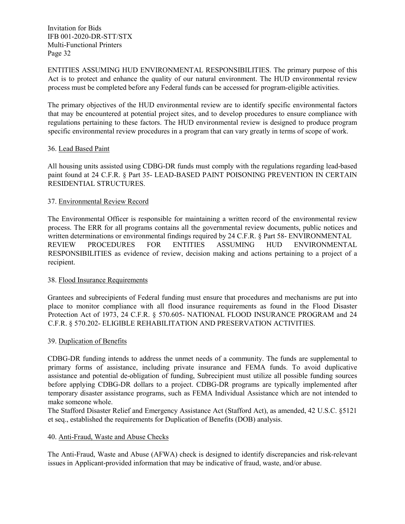ENTITIES ASSUMING HUD ENVIRONMENTAL RESPONSIBILITIES. The primary purpose of this Act is to protect and enhance the quality of our natural environment. The HUD environmental review process must be completed before any Federal funds can be accessed for program‐eligible activities.

The primary objectives of the HUD environmental review are to identify specific environmental factors that may be encountered at potential project sites, and to develop procedures to ensure compliance with regulations pertaining to these factors. The HUD environmental review is designed to produce program specific environmental review procedures in a program that can vary greatly in terms of scope of work.

#### 36. Lead Based Paint

All housing units assisted using CDBG-DR funds must comply with the regulations regarding lead-based paint found at 24 C.F.R. § Part 35- LEAD-BASED PAINT POISONING PREVENTION IN CERTAIN RESIDENTIAL STRUCTURES.

#### 37. Environmental Review Record

The Environmental Officer is responsible for maintaining a written record of the environmental review process. The ERR for all programs contains all the governmental review documents, public notices and written determinations or environmental findings required by 24 C.F.R. § Part 58- ENVIRONMENTAL REVIEW PROCEDURES FOR ENTITIES ASSUMING HUD ENVIRONMENTAL RESPONSIBILITIES as evidence of review, decision making and actions pertaining to a project of a recipient.

#### 38. Flood Insurance Requirements

Grantees and subrecipients of Federal funding must ensure that procedures and mechanisms are put into place to monitor compliance with all flood insurance requirements as found in the Flood Disaster Protection Act of 1973, 24 C.F.R. § 570.605- NATIONAL FLOOD INSURANCE PROGRAM and 24 C.F.R. § 570.202- ELIGIBLE REHABILITATION AND PRESERVATION ACTIVITIES.

#### 39. Duplication of Benefits

CDBG-DR funding intends to address the unmet needs of a community. The funds are supplemental to primary forms of assistance, including private insurance and FEMA funds. To avoid duplicative assistance and potential de-obligation of funding, Subrecipient must utilize all possible funding sources before applying CDBG-DR dollars to a project. CDBG-DR programs are typically implemented after temporary disaster assistance programs, such as FEMA Individual Assistance which are not intended to make someone whole.

The Stafford Disaster Relief and Emergency Assistance Act (Stafford Act), as amended, 42 U.S.C. §5121 et seq., established the requirements for Duplication of Benefits (DOB) analysis.

#### 40. Anti-Fraud, Waste and Abuse Checks

The Anti-Fraud, Waste and Abuse (AFWA) check is designed to identify discrepancies and risk-relevant issues in Applicant-provided information that may be indicative of fraud, waste, and/or abuse.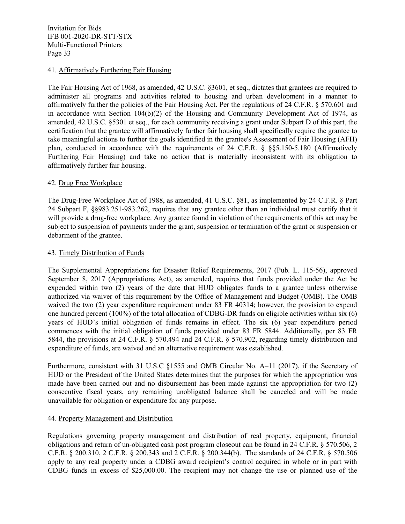#### 41. Affirmatively Furthering Fair Housing

The Fair Housing Act of 1968, as amended, 42 U.S.C. §3601, et seq., dictates that grantees are required to administer all programs and activities related to housing and urban development in a manner to affirmatively further the policies of the Fair Housing Act. Per the regulations of 24 C.F.R. § 570.601 and in accordance with Section 104(b)(2) of the Housing and Community Development Act of 1974, as amended, 42 U.S.C. §5301 et seq., for each community receiving a grant under Subpart D of this part, the certification that the grantee will affirmatively further fair housing shall specifically require the grantee to take meaningful actions to further the goals identified in the grantee's Assessment of Fair Housing (AFH) plan, conducted in accordance with the requirements of 24 C.F.R. § §§5.150-5.180 (Affirmatively Furthering Fair Housing) and take no action that is materially inconsistent with its obligation to affirmatively further fair housing.

#### 42. Drug Free Workplace

The Drug-Free Workplace Act of 1988, as amended, 41 U.S.C. §81, as implemented by 24 C.F.R. § Part 24 Subpart F, §§983.251-983.262, requires that any grantee other than an individual must certify that it will provide a drug-free workplace. Any grantee found in violation of the requirements of this act may be subject to suspension of payments under the grant, suspension or termination of the grant or suspension or debarment of the grantee.

#### 43. Timely Distribution of Funds

The Supplemental Appropriations for Disaster Relief Requirements, 2017 (Pub. L. 115-56), approved September 8, 2017 (Appropriations Act), as amended, requires that funds provided under the Act be expended within two (2) years of the date that HUD obligates funds to a grantee unless otherwise authorized via waiver of this requirement by the Office of Management and Budget (OMB). The OMB waived the two (2) year expenditure requirement under 83 FR 40314; however, the provision to expend one hundred percent (100%) of the total allocation of CDBG-DR funds on eligible activities within six (6) years of HUD's initial obligation of funds remains in effect. The six (6) year expenditure period commences with the initial obligation of funds provided under 83 FR 5844. Additionally, per 83 FR 5844, the provisions at 24 C.F.R. § 570.494 and 24 C.F.R. § 570.902, regarding timely distribution and expenditure of funds, are waived and an alternative requirement was established.

Furthermore, consistent with 31 U.S.C §1555 and OMB Circular No. A–11 (2017), if the Secretary of HUD or the President of the United States determines that the purposes for which the appropriation was made have been carried out and no disbursement has been made against the appropriation for two (2) consecutive fiscal years, any remaining unobligated balance shall be canceled and will be made unavailable for obligation or expenditure for any purpose.

#### 44. Property Management and Distribution

Regulations governing property management and distribution of real property, equipment, financial obligations and return of un-obligated cash post program closeout can be found in 24 C.F.R. § 570.506, 2 C.F.R. § 200.310, 2 C.F.R. § 200.343 and 2 C.F.R. § 200.344(b). The standards of 24 C.F.R. § 570.506 apply to any real property under a CDBG award recipient's control acquired in whole or in part with CDBG funds in excess of \$25,000.00. The recipient may not change the use or planned use of the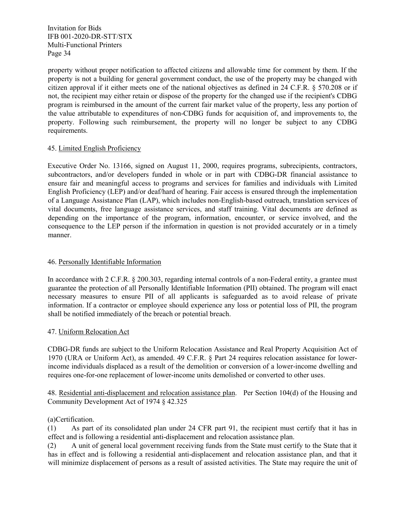property without proper notification to affected citizens and allowable time for comment by them. If the property is not a building for general government conduct, the use of the property may be changed with citizen approval if it either meets one of the national objectives as defined in 24 C.F.R. § 570.208 or if not, the recipient may either retain or dispose of the property for the changed use if the recipient's CDBG program is reimbursed in the amount of the current fair market value of the property, less any portion of the value attributable to expenditures of non-CDBG funds for acquisition of, and improvements to, the property. Following such reimbursement, the property will no longer be subject to any CDBG requirements.

#### 45. Limited English Proficiency

Executive Order No. 13166, signed on August 11, 2000, requires programs, subrecipients, contractors, subcontractors, and/or developers funded in whole or in part with CDBG-DR financial assistance to ensure fair and meaningful access to programs and services for families and individuals with Limited English Proficiency (LEP) and/or deaf/hard of hearing. Fair access is ensured through the implementation of a Language Assistance Plan (LAP), which includes non-English-based outreach, translation services of vital documents, free language assistance services, and staff training. Vital documents are defined as depending on the importance of the program, information, encounter, or service involved, and the consequence to the LEP person if the information in question is not provided accurately or in a timely manner.

#### 46. Personally Identifiable Information

In accordance with 2 C.F.R. § 200.303, regarding internal controls of a non-Federal entity, a grantee must guarantee the protection of all Personally Identifiable Information (PII) obtained. The program will enact necessary measures to ensure PII of all applicants is safeguarded as to avoid release of private information. If a contractor or employee should experience any loss or potential loss of PII, the program shall be notified immediately of the breach or potential breach.

#### 47. Uniform Relocation Act

CDBG-DR funds are subject to the Uniform Relocation Assistance and Real Property Acquisition Act of 1970 (URA or Uniform Act), as amended. 49 C.F.R. § Part 24 requires relocation assistance for lowerincome individuals displaced as a result of the demolition or conversion of a lower-income dwelling and requires one-for-one replacement of lower-income units demolished or converted to other uses.

48. Residential anti-displacement and relocation assistance plan. Per Section 104(d) of the Housing and Community Development Act of 1974 § 42.325

#### (a)Certification.

(1) As part of its consolidated plan under [24 CFR part 91,](https://www.law.cornell.edu/cfr/text/24/part-91) the recipient must certify that it has in effect and is following a residential anti-displacement and relocation assistance plan.

(2) A unit of general local government receiving funds from the State must certify to the State that it has in effect and is following a residential anti-displacement and relocation assistance plan, and that it will minimize displacement of persons as a result of assisted activities. The State may require the unit of